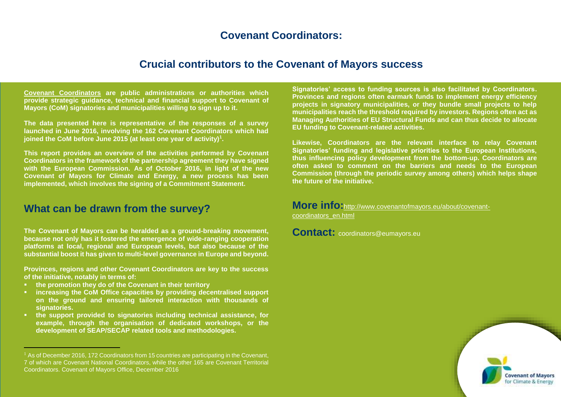#### mobilising other stakeholders - such as energy agencies, private companies and **Covenant Coordinators: Covenant Coordinators:**

# **Crucial contributors to the Covenant of Mayors success**

**[Covenant Coordinators](http://www.eumayors.eu/about/covenant-coordinators_en.html) are public administrations or authorities which provide strategic guidance, technical and financial support to Covenant of Mayors (CoM) signatories and municipalities willing to sign up to it.** 

**The data presented here is representative of the responses of a survey launched in June 2016, involving the 162 Covenant Coordinators which had joined the CoM before June 2015 (at least one year of activity)<sup>1</sup> .** 

**This report provides an overview of the activities performed by Covenant Coordinators in the framework of the partnership agreement they have signed with the European Commission. As of October 2016, in light of the new Covenant of Mayors for Climate and Energy, a new process has been implemented, which involves the signing of a Commitment Statement.** 

# **What can be drawn from the survey?**

**The Covenant of Mayors can be heralded as a ground-breaking movement, because not only has it fostered the emergence of wide-ranging cooperation platforms at local, regional and European levels, but also because of the substantial boost it has given to multi-level governance in Europe and beyond.**

**Provinces, regions and other Covenant Coordinators are key to the success of the initiative, notably in terms of:**

**the promotion they do of the Covenant in their territory**

i<br>I

- **increasing the CoM Office capacities by providing decentralised support on the ground and ensuring tailored interaction with thousands of signatories.**
- **the support provided to signatories including technical assistance, for example, through the organisation of dedicated workshops, or the development of SEAP/SECAP related tools and methodologies.**

**Signatories' access to funding sources is also facilitated by Coordinators. Provinces and regions often earmark funds to implement energy efficiency projects in signatory municipalities, or they bundle small projects to help municipalities reach the threshold required by investors. Regions often act as Managing Authorities of EU Structural Funds and can thus decide to allocate EU funding to Covenant-related activities.**

**Likewise, Coordinators are the relevant interface to relay Covenant Signatories' funding and legislative priorities to the European Institutions, thus influencing policy development from the bottom-up. Coordinators are often asked to comment on the barriers and needs to the European Commission (through the periodic survey among others) which helps shape the future of the initiative.**

**More info:**[http://www.covenantofmayors.eu/about/covenant](http://www.covenantofmayors.eu/about/covenant-)coordinators\_en.html

**Contact:** coordinators@eumayors.eu



 $1$  As of December 2016, 172 Coordinators from 15 countries are participating in the Covenant, 7 of which are Covenant National Coordinators, while the other 165 are Covenant Territorial Coordinators. Covenant of Mayors Office, December 2016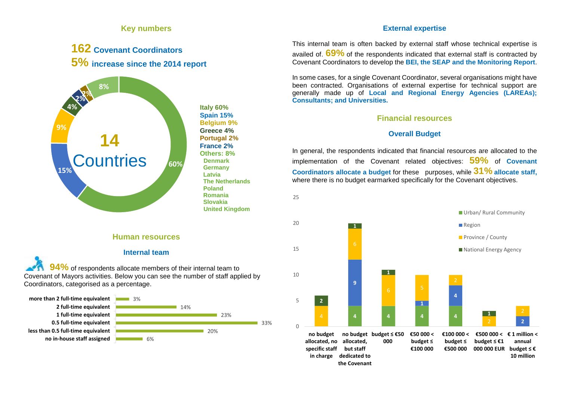# **Key numbers**

# **162 Covenant Coordinators 5% increase since the <sup>2014</sup> report**



**Italy 60% Spain 15% Belgium 9% Greece 4% Portugal 2% France 2% Others: 8% Denmark Germany Latvia The Netherlands Poland Romania Slovakia United Kingdom**

#### **Human resources**

#### **Internal team**

**94%** of respondents allocate members of their internal team to Covenant of Mayors activities. Below you can see the number of staff applied by Coordinators, categorised as a percentage.



# **External expertise**

This internal team is often backed by external staff whose technical expertise is availed of. **69%** of the respondents indicated that external staff is contracted by Covenant Coordinators to develop the **BEI, the SEAP and the Monitoring Report**.

In some cases, for a single Covenant Coordinator, several organisations might have been contracted. Organisations of external expertise for technical support are generally made up of **Local and Regional Energy Agencies (LAREAs); Consultants; and Universities.**

# **Financial resources**

# **Overall Budget**

In general, the respondents indicated that financial resources are allocated to the implementation of the Covenant related objectives: **59%** of **Covenant Coordinators allocate a budget** for these purposes, while **31% allocate staff,** where there is no budget earmarked specifically for the Covenant objectives.

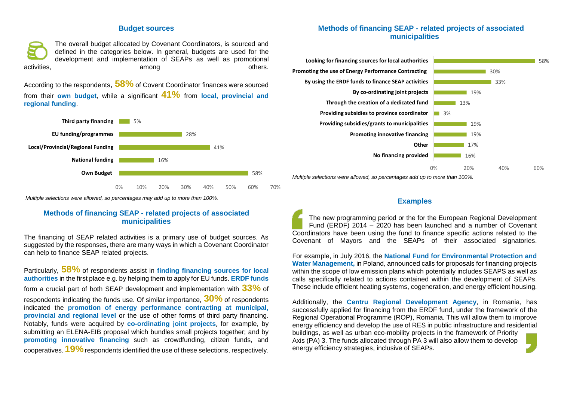#### **Budget sources**

The overall budget allocated by Covenant Coordinators, is sourced and defined in the categories below. In general, budgets are used for the development and implementation of SEAPs as well as promotional activities, and the control of the control of the control of the control of the control of the control of the c

According to the respondents, **58%** of Covent Coordinator finances were sourced from their **own budget**, while a significant **41%** from **local, provincial and regional funding**.



*Multiple selections were allowed, so percentages may add up to more than 100%.*

#### **Methods of financing SEAP - related projects of associated municipalities**

The financing of SEAP related activities is a primary use of budget sources. As suggested by the responses, there are many ways in which a Covenant Coordinator can help to finance SEAP related projects.

Particularly, **58%** of respondents assist in **finding financing sources for local authorities** in the first place e.g. by helping them to apply for EU funds. **ERDF funds** form a crucial part of both SEAP development and implementation with **33%** of respondents indicating the funds use. Of similar importance, **30%** of respondents indicated the **promotion of energy performance contracting at municipal, provincial and regional level** or the use of other forms of third party financing. Notably, funds were acquired by **co-ordinating joint projects**, for example, by submitting an ELENA-EIB proposal which bundles small projects together; and by **promoting innovative financing** such as crowdfunding, citizen funds, and cooperatives. **19%**respondents identified the use of these selections, respectively.

#### **Methods of financing SEAP - related projects of associated municipalities**



#### **Examples**

The new programming period or the for the European Regional Development Fund (ERDF) 2014 – 2020 has been launched and a number of Covenant Coordinators have been using the fund to finance specific actions related to the Covenant of Mayors and the SEAPs of their associated signatories.

For example, in July 2016, the **National Fund for Environmental Protection and Water Management,** in Poland, announced calls for proposals for financing projects within the scope of low emission plans which potentially includes SEAPS as well as calls specifically related to actions contained within the development of SEAPs. These include efficient heating systems, cogeneration, and energy efficient housing.

Additionally, the **Centru Regional Development Agency**, in Romania, has successfully applied for financing from the ERDF fund, under the framework of the Regional Operational Programme (ROP), Romania. This will allow them to improve energy efficiency and develop the use of RES in public infrastructure and residential buildings, as well as urban eco-mobility projects in the framework of Priority Axis (PA) 3. The funds allocated through PA 3 will also allow them to develop energy efficiency strategies, inclusive of SEAPs.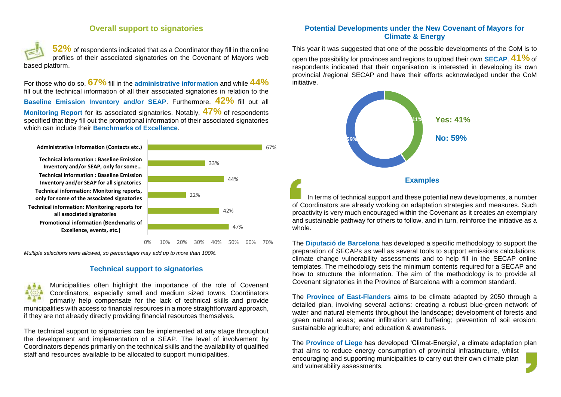# **Overall support to signatories**

**52%** of respondents indicated that as a Coordinator they fill in the online profiles of their associated signatories on the Covenant of Mayors web based platform.

For those who do so, **67%** fill in the **administrative information** and while **44%** fill out the technical information of all their associated signatories in relation to the **Baseline Emission Inventory and/or SEAP**. Furthermore, **42%** fill out all **Monitoring Report** for its associated signatories. Notably, **47%** of respondents specified that they fill out the promotional information of their associated signatories which can include their **Benchmarks of Excellence**.

47% 42% 22% 44% 33% 67% 0% 10% 20% 30% 40% 50% 60% 70% **Promotional information (Benchmarks of Excellence, events, etc.) Technical information: Monitoring reports for all associated signatories Technical information: Monitoring reports, only for some of the associated signatories Technical information : Baseline Emission Inventory and/or SEAP for all signatories Technical information : Baseline Emission Inventory and/or SEAP, only for some… Administrative information (Contacts etc.)**

*Multiple selections were allowed, so percentages may add up to more than 100%.*

#### **Technical support to signatories**

Municipalities often highlight the importance of the role of [Covenant](http://www.covenantofmayors.eu/Covenant-Coordinators.html) [Coordinators,](http://www.covenantofmayors.eu/Covenant-Coordinators.html) especially small and medium sized towns. Coordinators primarily help compensate for the lack of technical skills and provide municipalities with access to financial resources in a more straightforward approach, if they are not already directly providing financial resources themselves.

The technical support to signatories can be implemented at any stage throughout the development and implementation of a SEAP. The level of involvement by Coordinators depends primarily on the technical skills and the availability of qualified staff and resources available to be allocated to support municipalities.

#### **Potential Developments under the New Covenant of Mayors for Climate & Energy**

This year it was suggested that one of the possible developments of the CoM is to open the possibility for provinces and regions to upload their own **SECAP**. **41%** of respondents indicated that their organisation is interested in developing its own provincial /regional SECAP and have their efforts acknowledged under the CoM initiative.



In terms of technical support and these potential new developments, a number of Coordinators are already working on adaptation strategies and measures. Such proactivity is very much encouraged within the Covenant as it creates an exemplary and sustainable pathway for others to follow, and in turn, reinforce the initiative as a whole.

The **Diputació de Barcelona** has developed a specific methodology to support the preparation of SECAPs as well as several tools to support emissions calculations, climate change vulnerability assessments and to help fill in the SECAP online templates. The methodology sets the minimum contents required for a SECAP and how to structure the information. The aim of the methodology is to provide all Covenant signatories in the Province of Barcelona with a common standard.

The **Province of East-Flanders** aims to be climate adapted by 2050 through a detailed plan, involving several actions: creating a robust blue-green network of water and natural elements throughout the landscape; development of forests and green natural areas; water infiltration and buffering; prevention of soil erosion; sustainable agriculture; and education & awareness.

The **Province of Liege** has developed 'Climat-Energie', a climate adaptation plan that aims to reduce energy consumption of provincial infrastructure, whilst encouraging and supporting municipalities to carry out their own climate plan and vulnerability assessments.